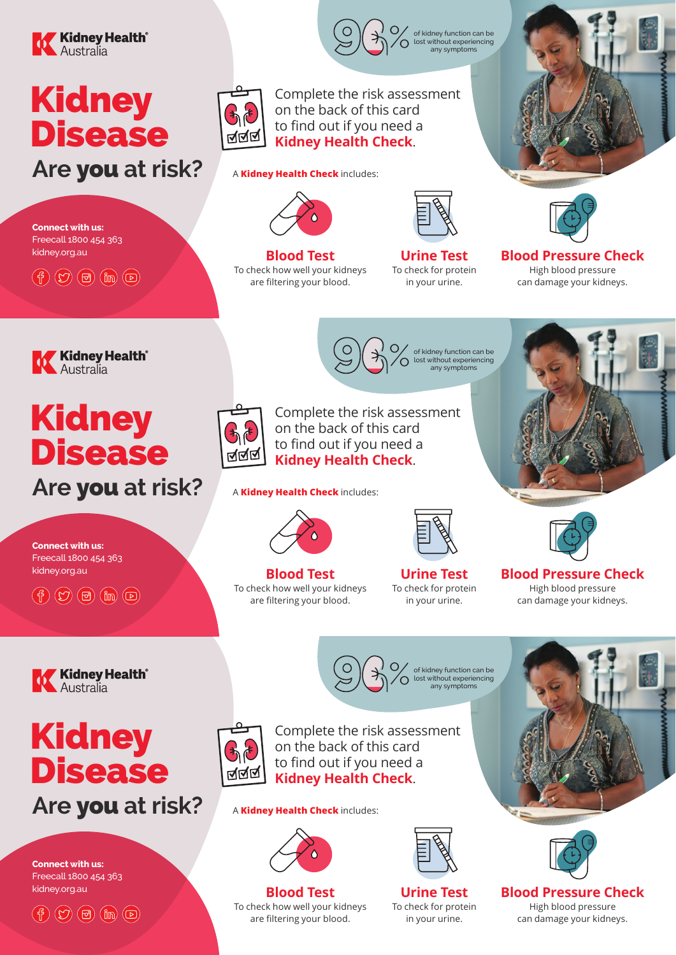

# Kidney **Disease**

**Are** you **at risk?**



Complete the risk assessment on the back of this card to find out if you need a **Kidney Health Check**.

of kidney function can be lost without experiencing

96%

**2**<br>A **Kidney Health Check** includes:



of kidney function can be lost without experiencing any symptoms

**Blood Test** To check how well your kidneys are filtering your blood.

**Urine Test** To check for protein in your urine.  $\mathbf{B}$ 

> of kidney function can be lost without experiencing any symptoms

9 %



**Blood Pressure Check** High blood pressure can damage your kidneys.



 $\left(\begin{matrix} 6 \end{matrix}\right)$   $\left(\begin{matrix} 2 \end{matrix}\right)$   $\left(\begin{matrix} 6 \end{matrix}\right)$   $\left(\begin{matrix} 6 \end{matrix}\right)$   $\left(\begin{matrix} 6 \end{matrix}\right)$ 

**Connect with us:**  Freecall 1800 454 363 kidney.org.au

# Kidney Disease

# **Are** you **at risk?**



Complete the risk assessment on the back of this card to find out if you need a **Kidney Health Check**.

of kidney function can be lost without experiencing

96%

**2**<br>A **Kidney Health Check** includes:



**Blood Test** To check how well your kidneys are filtering your blood. Blood test Urine test High blood pressure

**Urine Test** To check for protein in your urine.

> of kidney function can be lost without experiencing any symptoms

9 %





**Blood Pressure Check** High blood pressure can damage your kidneys.



 $\left(\begin{matrix} 6 \end{matrix}\right)$   $\left(\begin{matrix} 2 \end{matrix}\right)$   $\left(\begin{matrix} 6 \end{matrix}\right)$   $\left(\begin{matrix} 6 \end{matrix}\right)$   $\left(\begin{matrix} 6 \end{matrix}\right)$ 

**Connect with us:**  Freecall 1800 454 363 kidney.org.au

# Kidney Disease



**Connect with us:**  Freecall 1800 454 363 kidney.org.au

 $(\text{f})$   $(\text{D})$   $(\text{B})$   $(\text{m})$   $(\text{D})$ 



Complete the risk assessment on the back of this card to find out if you need a **Kidney Health Check**.

of kidney function can be lost without experiencing

96%

**2**<br>A **Kidney Health Check** includes:



**Blood Test** To check how well your kidneys are filtering your blood.

**Urine Test** To check for protein in your urine. Blood test Urine test High blood pressure





**Blood Pressure Check** High blood pressure can damage your kidneys.